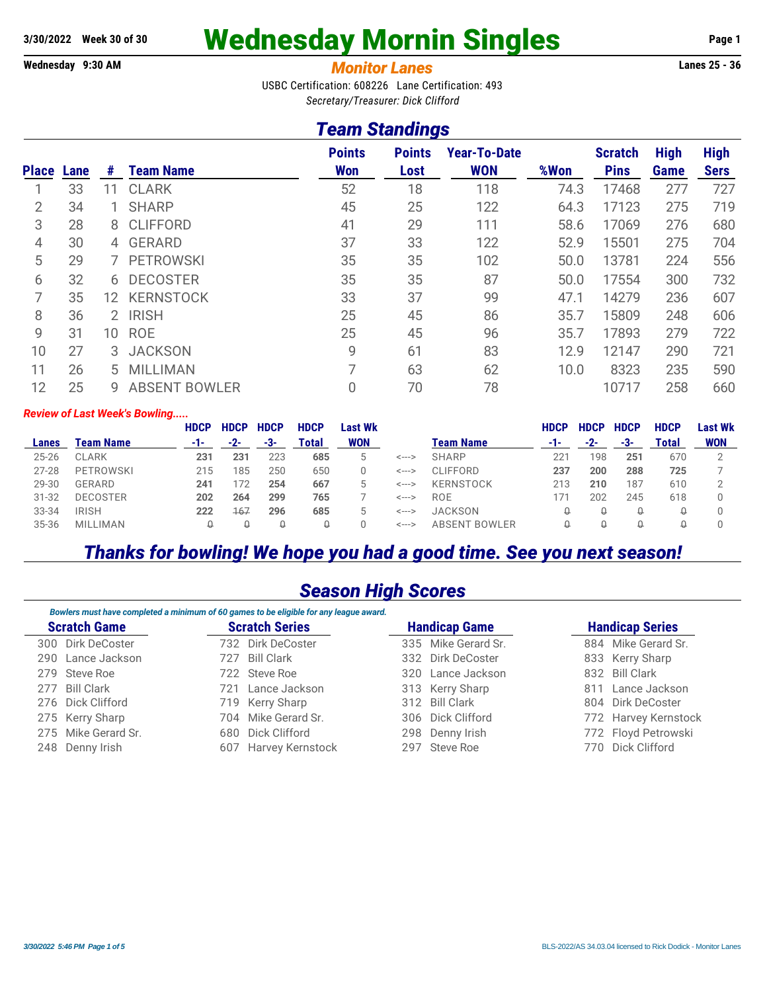# **3/30/2022 Week 30 of 30** Wednesday Mornin Singles **Page 1**

#### **Wednesday 9:30 AM** *Monitor Lanes* **Lanes 25 - 36**

USBC Certification: 608226 Lane Certification: 493 *Secretary/Treasurer: Dick Clifford*

## *Team Standings*

| <b>Place</b>   | Lane | #              | <b>Team Name</b>     | <b>Points</b><br><b>Won</b> | <b>Points</b><br>Lost | <b>Year-To-Date</b><br><b>WON</b> | %Won | <b>Scratch</b><br><b>Pins</b> | <b>High</b><br><b>Game</b> | <b>High</b><br><b>Sers</b> |
|----------------|------|----------------|----------------------|-----------------------------|-----------------------|-----------------------------------|------|-------------------------------|----------------------------|----------------------------|
|                | 33   | 11             | <b>CLARK</b>         | 52                          | 18                    | 118                               | 74.3 | 17468                         | 277                        | 727                        |
| 2              | 34   |                | <b>SHARP</b>         | 45                          | 25                    | 122                               | 64.3 | 17123                         | 275                        | 719                        |
| 3              | 28   | 8.             | <b>CLIFFORD</b>      | 41                          | 29                    | 111                               | 58.6 | 17069                         | 276                        | 680                        |
| $\overline{4}$ | 30   | $\overline{4}$ | <b>GERARD</b>        | 37                          | 33                    | 122                               | 52.9 | 15501                         | 275                        | 704                        |
| 5              | 29   |                | <b>PETROWSKI</b>     | 35                          | 35                    | 102                               | 50.0 | 13781                         | 224                        | 556                        |
| 6              | 32   | 6              | <b>DECOSTER</b>      | 35                          | 35                    | 87                                | 50.0 | 17554                         | 300                        | 732                        |
|                | 35   | 12.            | <b>KERNSTOCK</b>     | 33                          | 37                    | 99                                | 47.1 | 14279                         | 236                        | 607                        |
| 8              | 36   | 2.             | <b>IRISH</b>         | 25                          | 45                    | 86                                | 35.7 | 15809                         | 248                        | 606                        |
| 9              | 31   | 10             | <b>ROE</b>           | 25                          | 45                    | 96                                | 35.7 | 17893                         | 279                        | 722                        |
| 10             | 27   | 3              | <b>JACKSON</b>       | 9                           | 61                    | 83                                | 12.9 | 12147                         | 290                        | 721                        |
| 11             | 26   | 5              | <b>MILLIMAN</b>      | 7                           | 63                    | 62                                | 10.0 | 8323                          | 235                        | 590                        |
| 12             | 25   | 9              | <b>ABSENT BOWLER</b> | 0                           | 70                    | 78                                |      | 10717                         | 258                        | 660                        |

#### *Review of Last Week's Bowling.....*

|           |                  | <b>HDCP</b> | <b>HDCP</b> | <b>HDCP</b> | <b>HDCP</b> | Last Wk    |       |                  | <b>HDCP</b> | <b>HDCF</b> | <b>HDCP</b> | <b>HDCP</b> | Last Wk    |
|-----------|------------------|-------------|-------------|-------------|-------------|------------|-------|------------------|-------------|-------------|-------------|-------------|------------|
| Lanes     | <b>Team Name</b> | -1-         | $-2-$       | -3-         | Total       | <b>WON</b> |       | <b>Team Name</b> | -1-         | -2-         | -3-         | Total       | <b>WON</b> |
| $25 - 26$ | <b>CLARK</b>     | 231         | 231         | 223         | 685         | b          | <---> | <b>SHARP</b>     | 221         | 98          | 251         | 670         |            |
| $27 - 28$ | PETROWSKI        | 215         | 185         | 250         | 650         |            | <---> | <b>CLIFFORD</b>  | 237         | 200         | 288         | 725         |            |
| 29-30     | GERARD           | 241         | '72         | 254         | 667         | 5          | <---> | <b>KERNSTOCK</b> | 213         | 210         | 187         | 610         |            |
| $31 - 32$ | <b>DECOSTER</b>  | 202         | 264         | 299         | 765         |            | <---> | ROE.             | 171         | 202         | 245         | 618         |            |
| 33-34     | <b>IRISH</b>     | 222         | 167         | 296         | 685         | b          | <---> | <b>JACKSON</b>   | U           | ₩           | ₩           |             |            |
| 35-36     | <b>MILLIMAN</b>  | Q           |             | U           | ₩           |            | <---> | ABSENT BOWLER    |             | н           | U           |             |            |
|           |                  |             |             |             |             |            |       |                  |             |             |             |             |            |

## *Thanks for bowling! We hope you had a good time. See you next season!*

### *Season High Scores*

|                     |                     |     | Bowlers must have completed a minimum of 60 games to be eligible for any league award. |                      |                        |                      |  |  |
|---------------------|---------------------|-----|----------------------------------------------------------------------------------------|----------------------|------------------------|----------------------|--|--|
| <b>Scratch Game</b> |                     |     | <b>Scratch Series</b>                                                                  | <b>Handicap Game</b> | <b>Handicap Series</b> |                      |  |  |
|                     | 300 Dirk DeCoster   |     | 732 Dirk DeCoster                                                                      | 335 Mike Gerard Sr.  |                        | 884 Mike Gerard Sr.  |  |  |
|                     | 290 Lance Jackson   | 727 | Bill Clark                                                                             | 332 Dirk DeCoster    |                        | 833 Kerry Sharp      |  |  |
|                     | 279 Steve Roe       |     | 722 Steve Roe                                                                          | 320 Lance Jackson    |                        | 832 Bill Clark       |  |  |
|                     | 277 Bill Clark      |     | 721 Lance Jackson                                                                      | 313 Kerry Sharp      |                        | 811 Lance Jackson    |  |  |
|                     | 276 Dick Clifford   |     | 719 Kerry Sharp                                                                        | 312 Bill Clark       |                        | 804 Dirk DeCoster    |  |  |
|                     | 275 Kerry Sharp     |     | 704 Mike Gerard Sr.                                                                    | 306 Dick Clifford    |                        | 772 Harvey Kernstock |  |  |
|                     | 275 Mike Gerard Sr. |     | 680 Dick Clifford                                                                      | 298 Denny Irish      |                        | 772 Floyd Petrowski  |  |  |
|                     | 248 Denny Irish     |     | 607 Harvey Kernstock                                                                   | 297 Steve Roe        | 770                    | Dick Clifford        |  |  |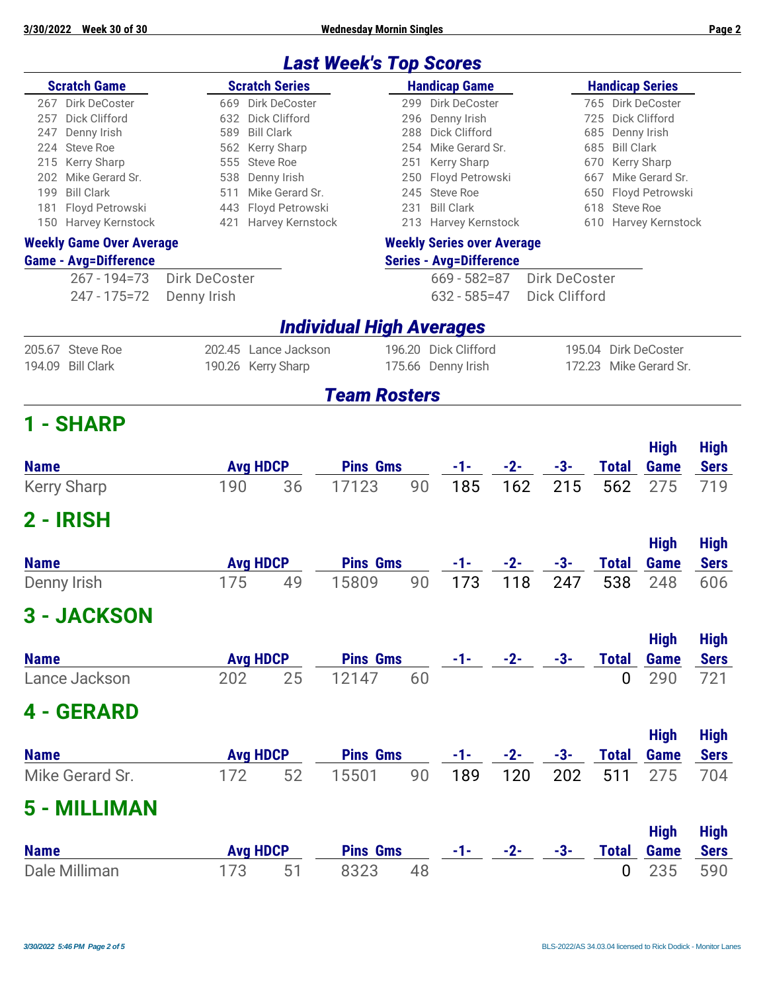**3/30/2022 Week 30 of 30 Wednesday Mornin Singles Page 2**

|                                             |                 |                                | <b>Last Week's Top Scores</b>   |                     |                                       |       |                      |                                |                     |                            |
|---------------------------------------------|-----------------|--------------------------------|---------------------------------|---------------------|---------------------------------------|-------|----------------------|--------------------------------|---------------------|----------------------------|
| <b>Scratch Game</b>                         |                 | <b>Scratch Series</b>          |                                 |                     | <b>Handicap Game</b>                  |       |                      | <b>Handicap Series</b>         |                     |                            |
| Dirk DeCoster<br>267                        |                 | 669 Dirk DeCoster              |                                 | 299                 | Dirk DeCoster                         |       |                      | 765 Dirk DeCoster              |                     |                            |
| 257<br>Dick Clifford                        | 632             | Dick Clifford                  | 296                             | Denny Irish         |                                       |       | 725                  | Dick Clifford                  |                     |                            |
| Denny Irish<br>247                          | 589             | <b>Bill Clark</b>              |                                 | 288                 | Dick Clifford                         |       |                      | 685                            | Denny Irish         |                            |
| <b>Steve Roe</b><br>224<br>562              |                 |                                | Kerry Sharp                     | 254                 | Mike Gerard Sr.                       |       |                      | <b>Bill Clark</b><br>685       |                     |                            |
| 555 Steve Roe<br>Kerry Sharp<br>215         |                 |                                | 251                             | Kerry Sharp         |                                       |       | 670                  | Kerry Sharp                    |                     |                            |
| Mike Gerard Sr.<br>202<br><b>Bill Clark</b> | 538             | Denny Irish<br>Mike Gerard Sr. |                                 |                     | 250 Floyd Petrowski                   |       |                      | 667                            | Mike Gerard Sr.     |                            |
| 199<br>Floyd Petrowski<br>181               | 511<br>443      | Floyd Petrowski                |                                 | 245<br>231          | <b>Steve Roe</b><br><b>Bill Clark</b> |       |                      | 650<br><b>Steve Roe</b><br>618 | Floyd Petrowski     |                            |
| 150 Harvey Kernstock                        |                 | 421 Harvey Kernstock           |                                 |                     | 213 Harvey Kernstock                  |       |                      | 610 Harvey Kernstock           |                     |                            |
| <b>Weekly Game Over Average</b>             |                 |                                |                                 |                     | <b>Weekly Series over Average</b>     |       |                      |                                |                     |                            |
| <b>Game - Avg=Difference</b>                |                 |                                |                                 |                     | <b>Series - Avg=Difference</b>        |       |                      |                                |                     |                            |
| $267 - 194 = 73$                            | Dirk DeCoster   |                                |                                 |                     | $669 - 582 = 87$                      |       | Dirk DeCoster        |                                |                     |                            |
| 247 - 175 = 72                              | Denny Irish     |                                |                                 |                     | $632 - 585 = 47$                      |       | <b>Dick Clifford</b> |                                |                     |                            |
|                                             |                 |                                | <b>Individual High Averages</b> |                     |                                       |       |                      |                                |                     |                            |
| 205.67 Steve Roe                            |                 | 202.45 Lance Jackson           |                                 |                     | 196.20 Dick Clifford                  |       |                      | 195.04 Dirk DeCoster           |                     |                            |
| <b>Bill Clark</b><br>194.09                 |                 | 190.26 Kerry Sharp             |                                 |                     | 175.66 Denny Irish                    |       |                      | 172.23 Mike Gerard Sr.         |                     |                            |
|                                             |                 |                                |                                 | <b>Team Rosters</b> |                                       |       |                      |                                |                     |                            |
| 1 - SHARP                                   |                 |                                |                                 |                     |                                       |       |                      |                                |                     |                            |
|                                             |                 |                                |                                 |                     |                                       |       |                      |                                | <b>High</b>         | <b>High</b>                |
| <b>Name</b>                                 |                 | <b>Avg HDCP</b>                |                                 | <b>Pins Gms</b>     | -1-                                   | $-2-$ | $-3-$                | <b>Total</b>                   | Game                | <b>Sers</b>                |
| <b>Kerry Sharp</b>                          | 190             | 36                             | 17123                           | 90                  | 185                                   | 162   | 215                  | 562                            | 275                 | 719                        |
| 2 - IRISH                                   |                 |                                |                                 |                     |                                       |       |                      |                                |                     |                            |
|                                             |                 |                                |                                 |                     |                                       |       |                      |                                | <b>High</b>         | <b>High</b>                |
| <b>Name</b>                                 | <b>Avg HDCP</b> |                                |                                 | <b>Pins Gms</b>     |                                       | $-2-$ | $-3-$                | <b>Total</b>                   | Game                | <b>Sers</b>                |
| Denny Irish                                 | 175             | 49                             | 15809                           | 90                  | 173                                   | 118   | 247                  | 538                            | 248                 | 606                        |
| <b>3 - JACKSON</b>                          |                 |                                |                                 |                     |                                       |       |                      |                                |                     |                            |
|                                             |                 |                                |                                 |                     |                                       |       |                      |                                | <b>High</b>         | <b>High</b>                |
| <b>Name</b>                                 |                 | <b>Avg HDCP</b>                |                                 | <b>Pins Gms</b>     | $-1-$                                 | $-2-$ | -3-                  | <b>Total</b>                   | <b>Game</b>         | <b>Sers</b>                |
| Lance Jackson                               | 202             | 25                             | 12147                           | 60                  |                                       |       |                      | 0                              | 290                 | 721                        |
| 4 - GERARD                                  |                 |                                |                                 |                     |                                       |       |                      |                                |                     |                            |
| <b>Name</b>                                 |                 | <b>Avg HDCP</b>                |                                 | <b>Pins Gms</b>     | $-1-$                                 | $-2-$ | -3-                  | <b>Total</b>                   | <b>High</b><br>Game | <b>High</b><br><b>Sers</b> |
| Mike Gerard Sr.                             | 172             | 52                             | 15501                           | 90                  | 189                                   | 120   | 202                  | 511                            | 275                 | 704                        |
| 5 - MILLIMAN                                |                 |                                |                                 |                     |                                       |       |                      |                                |                     |                            |
|                                             |                 |                                |                                 |                     |                                       |       |                      |                                | <b>High</b>         | <b>High</b>                |
| <b>Name</b>                                 |                 | <b>Avg HDCP</b>                |                                 | <b>Pins Gms</b>     | $-1-$                                 | $-2-$ | -3-                  | <b>Total</b>                   | Game                | <b>Sers</b>                |
| Dale Milliman                               | 173             | 51                             | 8323                            | 48                  |                                       |       |                      | $\mathbf 0$                    | 235                 | 590                        |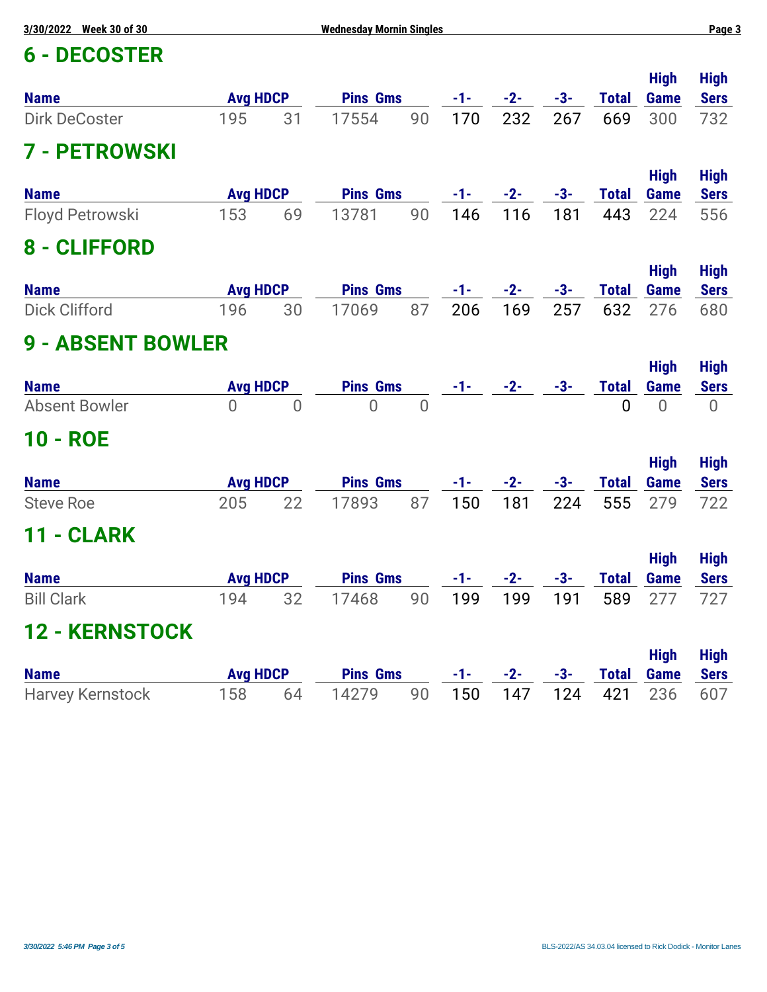## **6 - DECOSTER**

| <b>6 - DECOSTER</b>      |                        |                |                 |                |       |       |       |                     |                            |                            |
|--------------------------|------------------------|----------------|-----------------|----------------|-------|-------|-------|---------------------|----------------------------|----------------------------|
| <b>Name</b>              | <b>Avg HDCP</b>        |                | <b>Pins Gms</b> |                | $-1-$ | $-2-$ | $-3-$ | <b>Total</b>        | <b>High</b><br><b>Game</b> | <b>High</b><br><b>Sers</b> |
| <b>Dirk DeCoster</b>     | 195                    | 31             | 17554           | 90             | 170   | 232   | 267   | 669                 | 300                        | 732                        |
| <b>7 - PETROWSKI</b>     |                        |                |                 |                |       |       |       |                     |                            |                            |
| <b>Name</b>              | <b>Avg HDCP</b>        |                | <b>Pins Gms</b> |                | $-1-$ | $-2-$ | $-3-$ | <b>Total</b>        | <b>High</b><br>Game        | <b>High</b><br><b>Sers</b> |
| Floyd Petrowski          | 153                    | 69             | 13781           | 90             | 146   | 116   | 181   | 443                 | 224                        | 556                        |
| 8 - CLIFFORD             |                        |                |                 |                |       |       |       |                     |                            |                            |
| <b>Name</b>              | <b>Avg HDCP</b>        |                | <b>Pins Gms</b> |                | $-1-$ | $-2-$ | $-3-$ | <b>Total</b>        | <b>High</b><br><b>Game</b> | <b>High</b><br><b>Sers</b> |
| <b>Dick Clifford</b>     | 196                    | 30             | 17069           | 87             | 206   | 169   | 257   | 632                 | 276                        | 680                        |
| <b>9 - ABSENT BOWLER</b> |                        |                |                 |                |       |       |       |                     |                            |                            |
| <b>Name</b>              | <b>Avg HDCP</b>        |                | <b>Pins Gms</b> |                | -1-   | $-2-$ | $-3-$ | <b>Total</b>        | <b>High</b><br>Game        | <b>High</b><br><b>Sers</b> |
| <b>Absent Bowler</b>     | $\overline{0}$         | $\overline{0}$ | $\overline{0}$  | $\overline{0}$ |       |       |       | $\overline{0}$      | $\overline{0}$             | $\overline{0}$             |
| 10 - ROE                 |                        |                |                 |                |       |       |       |                     |                            |                            |
| <b>Name</b>              | <b>Avg HDCP</b>        |                | <b>Pins Gms</b> |                | -1-   | $-2-$ | $-3-$ | <b>Total</b>        | <b>High</b><br><b>Game</b> | <b>High</b><br><b>Sers</b> |
| <b>Steve Roe</b>         | 205                    | 22             | 17893           | 87             | 150   | 181   | 224   | 555                 | 279                        | 722                        |
| - CLARK<br>11            |                        |                |                 |                |       |       |       |                     |                            |                            |
| <b>Name</b>              | <b>Avg HDCP</b>        |                | <b>Pins Gms</b> |                | -1-   | $-2-$ | $-3-$ | <b>Total</b>        | <b>High</b><br><b>Game</b> | <b>High</b><br><b>Sers</b> |
| <b>Bill Clark</b>        | 194                    | 32             | 17468           | 90             | 199   | 199   | 191   | 589                 | 277                        | 727                        |
| <b>12 - KERNSTOCK</b>    |                        |                |                 |                |       |       |       |                     |                            |                            |
| <b>Name</b>              |                        |                | <b>Pins Gms</b> |                | $-1-$ | $-2-$ | $-3-$ |                     | <b>High</b>                | <b>High</b>                |
| <b>Harvey Kernstock</b>  | <b>Avg HDCP</b><br>158 | 64             | 14279           | 90             | 150   | 147   | 124   | <b>Total</b><br>421 | Game<br>236                | <b>Sers</b><br>607         |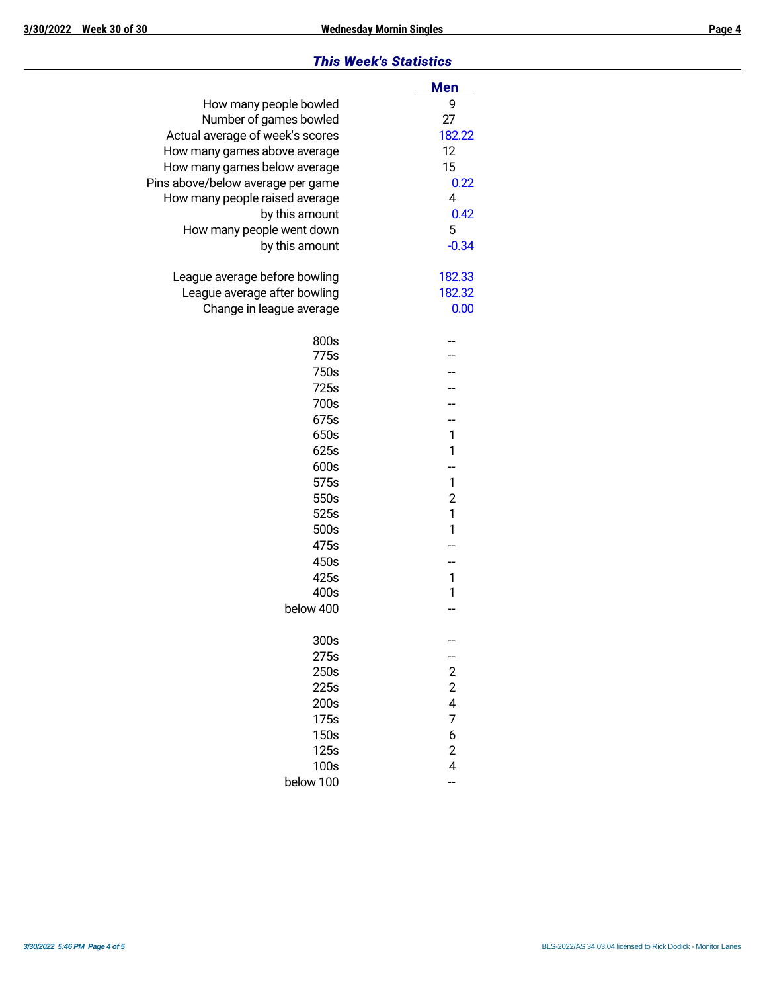#### *This Week's Statistics*

|                                   | <b>Men</b>              |
|-----------------------------------|-------------------------|
| How many people bowled            | 9                       |
| Number of games bowled            | 27                      |
| Actual average of week's scores   | 182.22                  |
| How many games above average      | 12                      |
| How many games below average      | 15                      |
| Pins above/below average per game | 0.22                    |
| How many people raised average    | 4                       |
| by this amount                    | 0.42                    |
| How many people went down         | 5                       |
| by this amount                    | $-0.34$                 |
| League average before bowling     | 182.33                  |
| League average after bowling      | 182.32                  |
| Change in league average          | 0.00                    |
|                                   |                         |
| 800s                              |                         |
| 775s                              |                         |
| 750s                              |                         |
| 725s                              |                         |
| 700s                              |                         |
| 675s                              | --                      |
| 650s                              | 1                       |
| 625s                              | 1                       |
| 600s                              | --                      |
| 575s                              | 1                       |
| 550s                              | $\overline{2}$          |
| 525s                              | 1                       |
| 500s                              | 1                       |
| 475s                              |                         |
| 450s                              |                         |
| 425s                              | 1                       |
| 400s                              | 1                       |
| below 400                         |                         |
| 300s                              |                         |
| 275s                              | --                      |
| 250s                              | $\overline{\mathbf{c}}$ |
| 225s                              | $\overline{\mathbf{c}}$ |
| 200s                              | 4                       |
| 175s                              | 7                       |
| 150s                              | 6                       |
| 125s                              | $\overline{c}$          |
| 100s                              | 4                       |
| below 100                         | --                      |